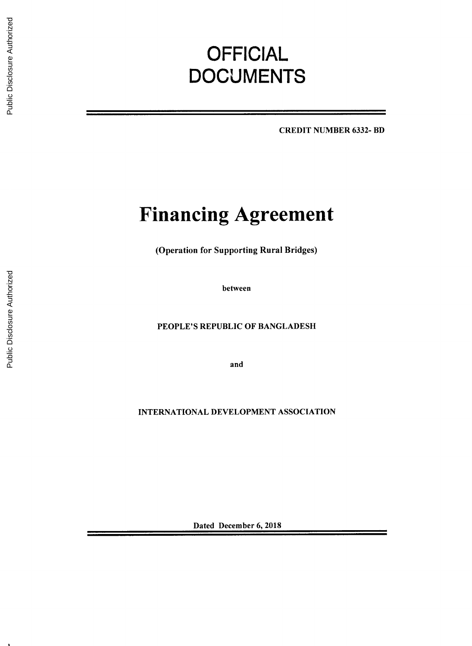# **OFFICIAL DOCUMENTS**

CREDIT **NUMBER 6332-** BD

# **Financing Agreement**

(Operation for Supporting Rural Bridges)

between

**PEOPLE'S** REPUBLIC OF **BANGLADESH**

and

**INTERNATIONAL DEVELOPMENT ASSOCIATION**

Dated December **6, 2018**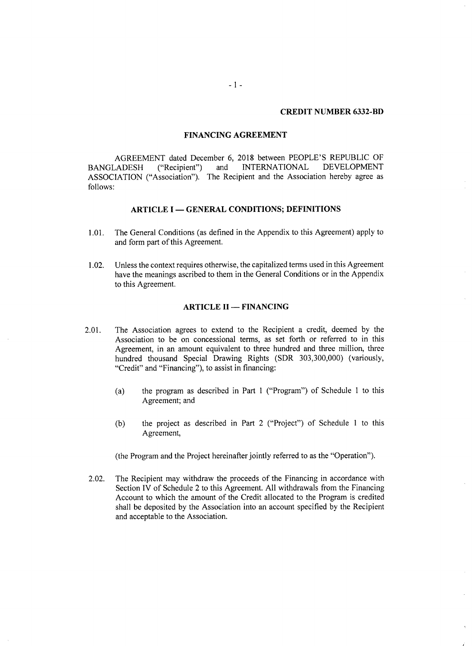#### **CREDIT NUMBER 6332-BD**

### **FINANCING AGREEMENT**

**AGREEMENT** dated December **6, 2018** between **PEOPLE'S** REPUBLIC OF BANGLADESH ("Recipient") and **INTERNATIONAL ASSOCIATION** ("Association"). The Recipient and the Association hereby agree as **follows:**

## **ARTICLE I - GENERAL CONDITIONS; DEFINITIONS**

- **1.01.** The General Conditions (as defined in the Appendix to this Agreement) apply to and form part of this Agreement.
- 1.02. Unless the context requires otherwise, the capitalized terms used in this Agreement have the meanings ascribed to them in the General Conditions or in the Appendix to this Agreement.

#### **ARTICLE II - FINANCING**

- 2.01. The Association agrees to extend to the Recipient a credit, deemed **by** the Association to be on concessional terms, as set forth or referred to in this Agreement, in an amount equivalent to three hundred and three million, three hundred thousand Special Drawing Rights (SDR **303,300,000)** (variously, "Credit" and "Financing"), to assist in financing:
	- (a) the program as described in Part 1 ("Program") of Schedule 1 to this Agreement; and
	- **(b)** the project as described in Part 2 ("Project") of Schedule 1 to this Agreement,

(the Program and the Project hereinafter jointly referred to as the "Operation").

2.02. The Recipient may withdraw the proceeds of the Financing in accordance with Section IV of Schedule 2 to this Agreement. **All** withdrawals from the Financing Account to which the amount of the Credit allocated to the Program is credited shall be deposited **by** the Association into an account specified **by** the Recipient and acceptable to the Association.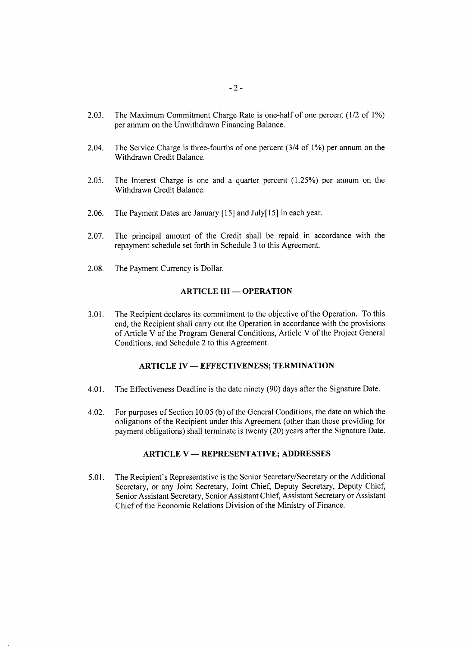- **2.03.** The Maximum Commitment Charge Rate is one-half of one percent (1/2 of **1%)** per annum on the Unwithdrawn Financing Balance.
- 2.04. The Service Charge is three-fourths of one percent (3/4 of **1%)** per annum on the Withdrawn Credit Balance.
- **2.05.** The Interest Charge is one and a quarter percent **(1.25%)** per annum on the Withdrawn Credit Balance.
- **2.06.** The Payment Dates are January **[15]** and July[15] in each year.
- **2.07.** The principal amount of the Credit shall be repaid in accordance with the repayment schedule set forth in Schedule **3** to this Agreement.
- **2.08.** The Payment Currency is Dollar.

# **ARTICLE III - OPERATION**

**3.01.** The Recipient declares its commitment to the objective of the Operation. To this end, the Recipient shall carry out the Operation in accordance with the provisions of Article V of the Program General Conditions, Article V of the Project General Conditions, and Schedule 2 to this Agreement.

## **ARTICLE IV - EFFECTIVENESS; TERMINATION**

- 4.01. The Effectiveness Deadline is the date ninety **(90)** days after the Signature Date.
- 4.02. For purposes of Section **10.05 (b)** of the General Conditions, the date on which the obligations of the Recipient under this Agreement (other than those providing for payment obligations) shall terminate is twenty (20) years after the Signature Date.

# **ARTICLE V - REPRESENTATIVE; ADDRESSES**

*5.01.* The Recipient's Representative is the Senior Secretary/Secretary or the Additional Secretary, or any Joint Secretary, Joint Chief, Deputy Secretary, Deputy Chief, Senior Assistant Secretary, Senior Assistant Chief, Assistant Secretary or Assistant Chief of the Economic Relations Division of the Ministry of Finance.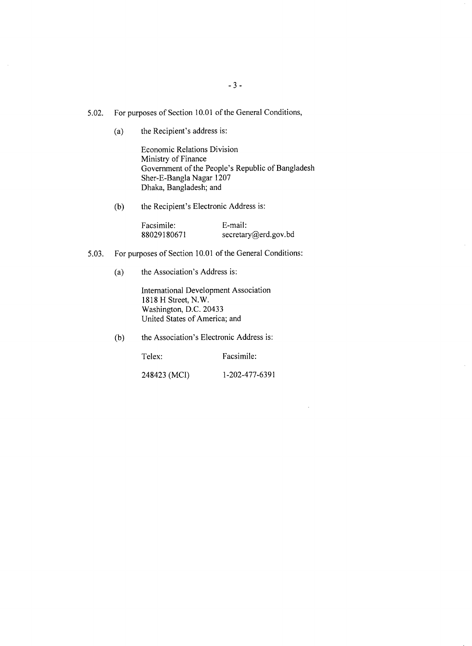- *5.02.* For purposes of Section **10.01** of the General Conditions,
	- (a) the Recipient's address is:

Economic Relations Division Ministry of Finance Government of the People's Republic of Bangladesh Sher-E-Bangla Nagar **1207** Dhaka, Bangladesh; and

**(b)** the Recipient's Electronic Address is:

Facsimile: E-mail:<br>88029180671 secretar secretary@erd.gov.bd

- *5.03.* For purposes of Section **10.01** of the General Conditions:
	- (a) the Association's Address is:

International Development Association **1818** H Street, N.W. Washington, **D.C.** 20433 United States of America; and

**(b)** the Association's Electronic Address is:

Telex: Facsimile:

248423 **(MCI) 1-202-477-6391**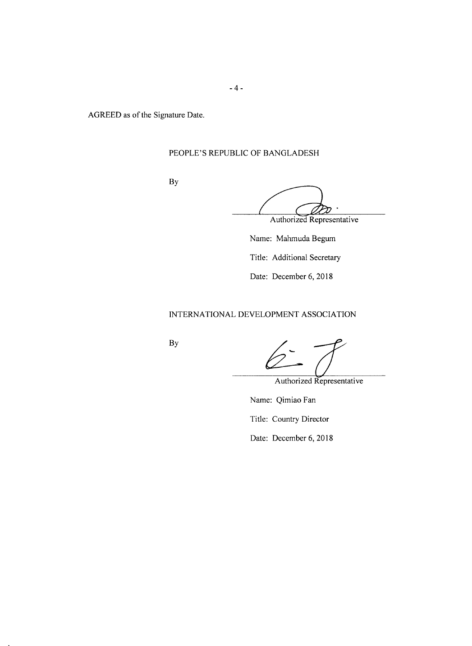AGREED as of the Signature Date.

# **PEOPLE'S** REPUBLIC OF **BANGLADESH**

**By**

Authorized Representative

Name: Mahmuda Begum Title: Additional Secretary Date: December **6, 2018**

# **INTERNATIONAL DEVELOPMENT ASSOCIATION**

**By**

Authorized Representative

Name: Qimiao Fan

Title: Country Director

Date: December **6, 2018**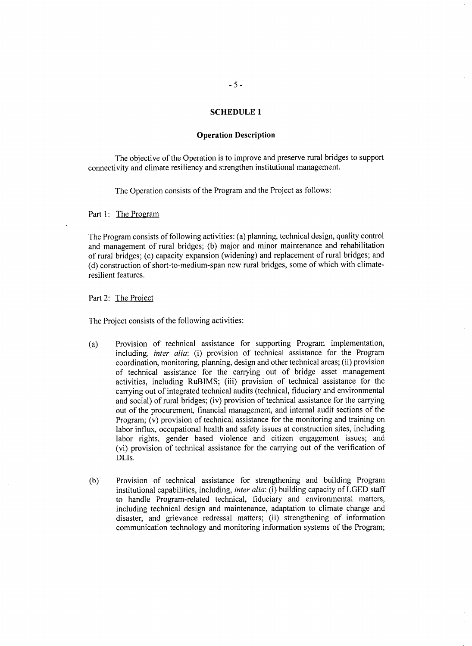#### **SCHEDULE 1**

#### **Operation Description**

The objective of the Operation is to improve and preserve rural bridges to support connectivity and climate resiliency and strengthen institutional management.

The Operation consists of the Program and the Project as follows:

Part **1:** The Program

The Program consists of following activities: (a) planning, technical design, quality control and management of rural bridges; **(b)** major and minor maintenance and rehabilitation of rural bridges; (c) capacity expansion (widening) and replacement of rural bridges; and **(d)** construction of short-to-medium-span new rural bridges, some of which with climateresilient features.

Part 2: The Project

The Project consists of the following activities:

- (a) Provision of technical assistance for supporting Program implementation, including *inter alia:* (i) provision of technical assistance for the Program coordination, monitoring, planning, design and other technical areas; (ii) provision of technical assistance for the carrying out of bridge asset management activities, including RuBIMS; (iii) provision of technical assistance for the carrying out of integrated technical audits (technical, fiduciary and environmental and social) of rural bridges; (iv) provision of technical assistance for the carrying out of the procurement, financial management, and internal audit sections of the Program; (v) provision of technical assistance for the monitoring and training on labor influx, occupational health and safety issues at construction sites, including labor rights, gender based violence and citizen engagement issues; and (vi) provision of technical assistance for the carrying out of the verification of DLIs.
- **(b)** Provision of technical assistance for strengthening and building Program institutional capabilities, including, *inter alia:* (i) building capacity of **LGED** staff to handle Program-related technical, fiduciary and environmental matters, including technical design and maintenance, adaptation to climate change and disaster, and grievance redressal matters; (ii) strengthening of information communication technology and monitoring information systems of the Program;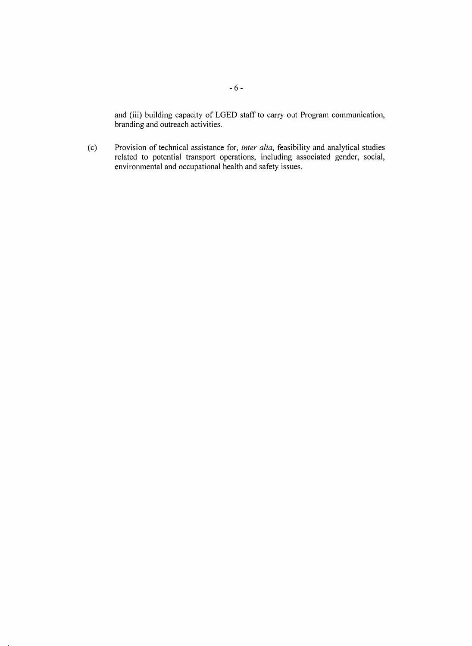and (iii) building capacity of **LGED** staff to carry out Program communication, branding and outreach activities.

**(c)** Provision of technical assistance for, *inter alia,* feasibility and analytical studies related to potential transport operations, including associated gender, social, environmental and occupational health and safety issues.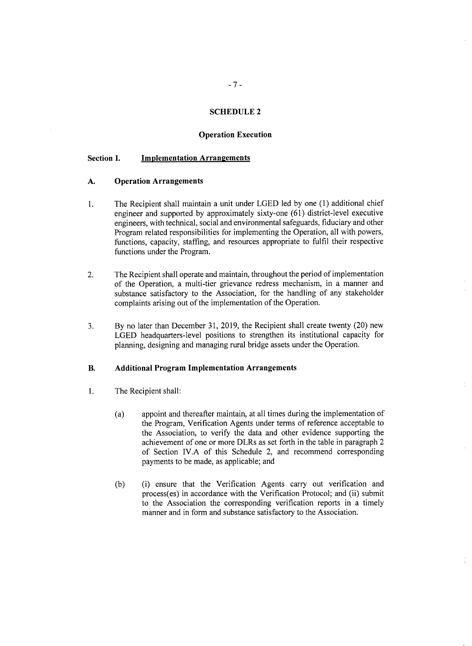# **SCHEDULE 2**

#### **Operation Execution**

# **Section I. Implementation Arrangements**

#### **A. Operation Arrangements**

- **1.** The Recipient shall maintain a unit under **LGED** led **by** one **(1)** additional chief engineer and supported **by** approximately sixty-one **(61)** district-level executive engineers, with technical, social and environmental safeguards, fiduciary and other Program related responsibilities for implementing the Operation, all with powers, functions, capacity, staffing, and resources appropriate to fulfil their respective functions under the Program.
- 2. The Recipient shall operate and maintain, throughout the period of implementation of the Operation, a multi-tier grievance redress mechanism, in a manner and substance satisfactory to the Association, for the handling of any stakeholder complaints arising out of the implementation of the Operation.
- **3. By** no later than December **31, 2019,** the Recipient shall create twenty (20) new **LGED** headquarters-level positions to strengthen its institutional capacity for planning, designing and managing rural bridge assets under the Operation.

### B. **Additional Program Implementation Arrangements**

- <sup>1</sup>**.** The Recipient shall:
	- (a) appoint and thereafter maintain, at all times during the implementation of the Program, Verification Agents under terms of reference acceptable to the Association, to verify the data and other evidence supporting the achievement of one or more DLRs as set forth in the table in paragraph 2 of Section IV.A of this Schedule 2, and recommend corresponding payments to be made, as applicable; and
	- **(b)** (i) ensure that the Verification Agents carry out verification and process(es) in accordance with the Verification Protocol; and (ii) submit to the Association the corresponding verification reports in a timely manner and in form and substance satisfactory to the Association.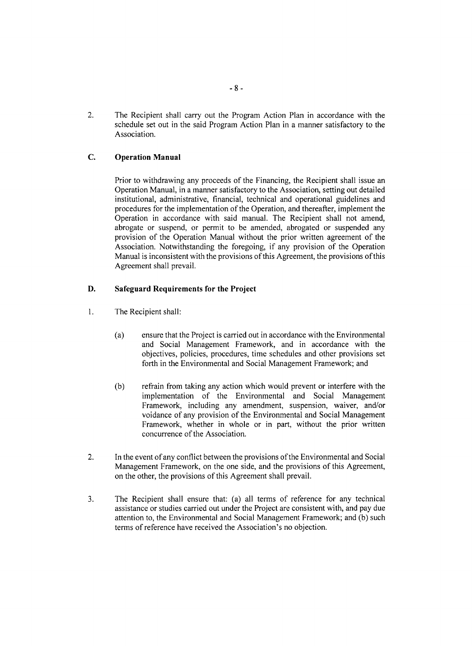2. The Recipient shall carry out the Program Action Plan in accordance with the schedule set out in the said Program Action Plan in a manner satisfactory to the Association.

# **C. Operation Manual**

Prior to withdrawing any proceeds of the Financing, the Recipient shall issue an Operation Manual, in a manner satisfactory to the Association, setting out detailed institutional, administrative, financial, technical and operational guidelines and procedures for the implementation of the Operation, and thereafter, implement the Operation in accordance with said manual. The Recipient shall not amend, abrogate or suspend, or permit to be amended, abrogated or suspended any provision of the Operation Manual without the prior written agreement of the Association. Notwithstanding the foregoing, if any provision of the Operation Manual is inconsistent with the provisions of this Agreement, the provisions of this Agreement shall prevail.

# **D.** Safeguard Requirements for **the Project**

- <sup>1</sup>**.** The Recipient shall:
	- (a) ensure that the Project is carried out in accordance with the Environmental and Social Management Framework, and in accordance with the objectives, policies, procedures, time schedules and other provisions set forth in the Environmental and Social Management Framework; and
	- **(b)** refrain from taking any action which would prevent or interfere with the implementation of the Environmental and Social Management Framework, including any amendment, suspension, waiver, and/or voidance of any provision of the Environmental and Social Management Framework, whether in whole or in part, without the prior written concurrence of the Association.
- 2. In the event of any conflict between the provisions of the Environmental and Social Management Framework, on the one side, and the provisions of this Agreement, on the other, the provisions of this Agreement shall prevail.
- **3.** The Recipient shall ensure that: (a) all terms of reference for any technical assistance or studies carried out under the Project are consistent with, and pay due attention to, the Environmental and Social Management Framework; and **(b)** such terms of reference have received the Association's no objection.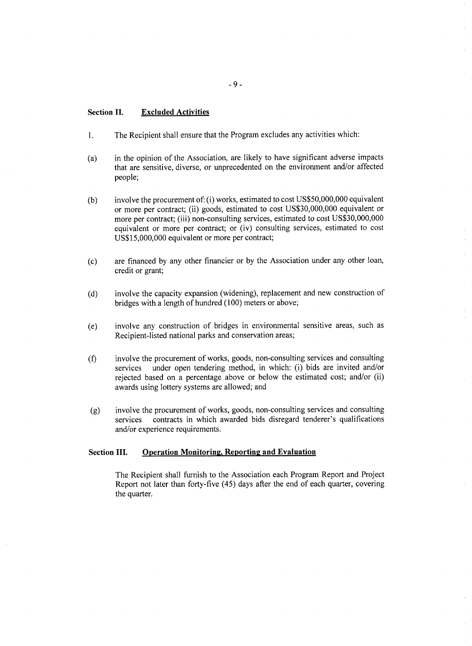#### **Section II. Excluded Activities**

- **1.** The Recipient shall ensure that the Program excludes any activities which:
- (a) in the opinion of the Association, are likely to have significant adverse impacts that are sensitive, diverse, or unprecedented on the environment and/or affected people;
- **(b)** involve the procurement of: (i) works, estimated to cost **US\$50,000,000** equivalent or more per contract; (ii) goods, estimated to cost **US\$30,000,000** equivalent or more per contract; (iii) non-consulting services, estimated to cost **US\$30,000,000** equivalent or more per contract; or (iv) consulting services, estimated to cost **US\$15,000,000** equivalent or more per contract;
- **(c)** are financed **by** any other financier or **by** the Association under any other loan, credit or grant;
- **(d)** involve the capacity expansion (widening), replacement and new construction of bridges with a length of hundred **(100)** meters or above;
- (e) involve any construction of bridges in environmental sensitive areas, such as Recipient-listed national parks and conservation areas;
- **(f)** involve the procurement of works, goods, non-consulting services and consulting services under open tendering method, in which: (i) bids are invited and/or rejected based on a percentage above or below the estimated cost; and/or (ii) awards using lottery systems are allowed; and
- **(g)** involve the procurement of works, goods, non-consulting services and consulting services contracts in which awarded bids disregard tenderer's qualifications and/or experience requirements.

#### **Section III. Operation Monitoring, Reporting and Evaluation**

The Recipient shall furnish to the Association each Program Report and Project Report not later than forty-five (45) days after the end of each quarter, covering the quarter.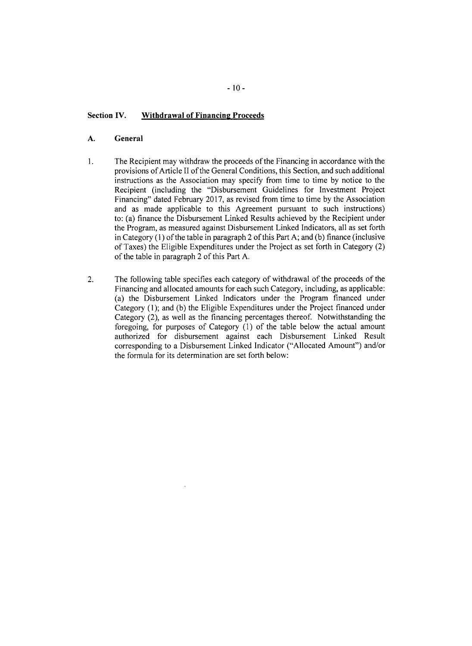## **Section IV. Withdrawal of Financine Proceeds**

# **A. General**

- 1. The Recipient may withdraw the proceeds of the Financing in accordance with the provisions of Article II of the General Conditions, this Section, and such additional instructions as the Association may specify from time to time **by** notice to the Recipient (including the "Disbursement Guidelines for Investment Project Financing" dated February **2017,** as revised from time to time **by** the Association and as made applicable to this Agreement pursuant to such instructions) to: (a) finance the Disbursement Linked Results achieved **by** the Recipient under the Program, as measured against Disbursement Linked Indicators, all as set forth in Category **(1)** of the table in paragraph 2 of this Part **A;** and **(b)** finance (inclusive of Taxes) the Eligible Expenditures under the Project as set forth in Category (2) of the table in paragraph 2 of this Part **A.**
- 2. The following table specifies each category of withdrawal of the proceeds of the Financing and allocated amounts for each such Category, including, as applicable: (a) the Disbursement Linked Indicators under the Program financed under Category **(1);** and **(b)** the Eligible Expenditures under the Project financed under Category (2), as well as the financing percentages thereof. Notwithstanding the foregoing, for purposes of Category **(1)** of the table below the actual amount authorized for disbursement against each Disbursement Linked Result corresponding to a Disbursement Linked Indicator ("Allocated Amount") and/or the formula for its determination are set forth below: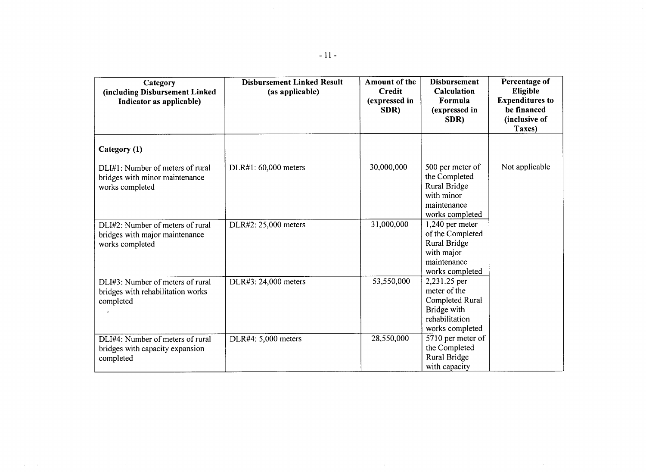| Category<br>(including Disbursement Linked<br>Indicator as applicable)                | <b>Disbursement Linked Result</b><br>(as applicable) | Amount of the<br>Credit<br>(expressed in<br>SDR) | <b>Disbursement</b><br>Calculation<br>Formula<br>(expressed in<br>SDR)                              | Percentage of<br>Eligible<br><b>Expenditures to</b><br>be financed<br>(inclusive of<br>Taxes) |
|---------------------------------------------------------------------------------------|------------------------------------------------------|--------------------------------------------------|-----------------------------------------------------------------------------------------------------|-----------------------------------------------------------------------------------------------|
| Category (1)                                                                          |                                                      |                                                  |                                                                                                     |                                                                                               |
| DLI#1: Number of meters of rural<br>bridges with minor maintenance<br>works completed | DLR#1: 60,000 meters                                 | 30,000,000                                       | 500 per meter of<br>the Completed<br>Rural Bridge<br>with minor<br>maintenance<br>works completed   | Not applicable                                                                                |
| DLI#2: Number of meters of rural<br>bridges with major maintenance<br>works completed | DLR#2: 25,000 meters                                 | 31,000,000                                       | 1,240 per meter<br>of the Completed<br>Rural Bridge<br>with major<br>maintenance<br>works completed |                                                                                               |
| DLI#3: Number of meters of rural<br>bridges with rehabilitation works<br>completed    | DLR#3: 24,000 meters                                 | 53,550,000                                       | 2,231.25 per<br>meter of the<br>Completed Rural<br>Bridge with<br>rehabilitation<br>works completed |                                                                                               |
| DLI#4: Number of meters of rural<br>bridges with capacity expansion<br>completed      | DLR#4: 5,000 meters                                  | 28,550,000                                       | 5710 per meter of<br>the Completed<br>Rural Bridge                                                  |                                                                                               |

with capacity

 $\sim$   $\sim$ 

 $\alpha$ 

 $\bar{\mathcal{A}}$ 

 $\mathcal{L}^{\text{max}}_{\text{max}}$  and  $\mathcal{L}^{\text{max}}_{\text{max}}$ 

 $\sim 10^{-11}$ 

 $\mathcal{L}^{\text{max}}_{\text{max}}$  and  $\mathcal{L}^{\text{max}}_{\text{max}}$ 

 $\mathcal{L}^{\text{max}}_{\text{max}}$ 

 $\mathcal{A}^{\text{c}}$  and  $\mathcal{A}^{\text{c}}$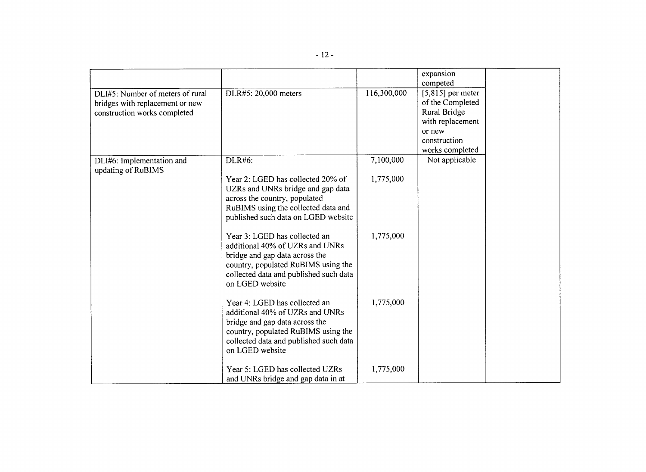|                                                 |                                        |             | expansion           |  |
|-------------------------------------------------|----------------------------------------|-------------|---------------------|--|
|                                                 |                                        |             | competed            |  |
| DLI#5: Number of meters of rural                | DLR#5: 20,000 meters                   | 116,300,000 | $[5,815]$ per meter |  |
| bridges with replacement or new                 |                                        |             | of the Completed    |  |
| construction works completed                    |                                        |             | Rural Bridge        |  |
|                                                 |                                        |             | with replacement    |  |
|                                                 |                                        |             | or new              |  |
|                                                 |                                        |             | construction        |  |
|                                                 |                                        |             | works completed     |  |
| DLI#6: Implementation and<br>updating of RuBIMS | DLR#6:                                 | 7,100,000   | Not applicable      |  |
|                                                 | Year 2: LGED has collected 20% of      | 1,775,000   |                     |  |
|                                                 | UZRs and UNRs bridge and gap data      |             |                     |  |
|                                                 | across the country, populated          |             |                     |  |
|                                                 | RuBIMS using the collected data and    |             |                     |  |
|                                                 | published such data on LGED website    |             |                     |  |
|                                                 | Year 3: LGED has collected an          | 1,775,000   |                     |  |
|                                                 | additional 40% of UZRs and UNRs        |             |                     |  |
|                                                 | bridge and gap data across the         |             |                     |  |
|                                                 | country, populated RuBIMS using the    |             |                     |  |
|                                                 | collected data and published such data |             |                     |  |
|                                                 | on LGED website                        |             |                     |  |
|                                                 | Year 4: LGED has collected an          | 1,775,000   |                     |  |
|                                                 | additional 40% of UZRs and UNRs        |             |                     |  |
|                                                 | bridge and gap data across the         |             |                     |  |
|                                                 | country, populated RuBIMS using the    |             |                     |  |
|                                                 | collected data and published such data |             |                     |  |
|                                                 | on LGED website                        |             |                     |  |
|                                                 | Year 5: LGED has collected UZRs        | 1,775,000   |                     |  |
|                                                 | and UNRs bridge and gap data in at     |             |                     |  |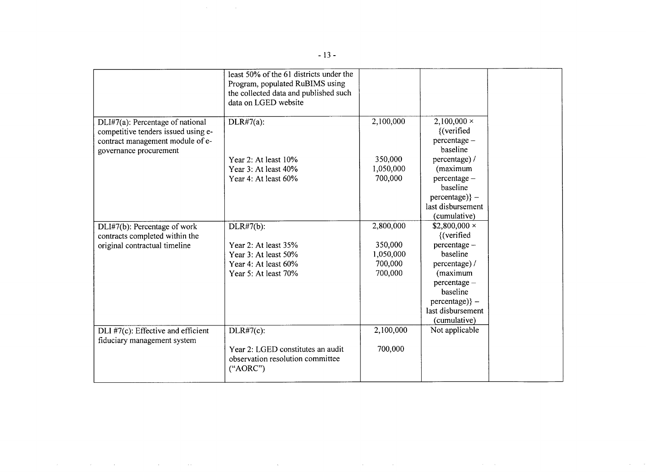|                                                                                                                                       | least 50% of the 61 districts under the<br>Program, populated RuBIMS using<br>the collected data and published such<br>data on LGED website |                                                         |                                                                                                                                                                                   |
|---------------------------------------------------------------------------------------------------------------------------------------|---------------------------------------------------------------------------------------------------------------------------------------------|---------------------------------------------------------|-----------------------------------------------------------------------------------------------------------------------------------------------------------------------------------|
| DLI#7(a): Percentage of national<br>competitive tenders issued using e-<br>contract management module of e-<br>governance procurement | $DLR#7(a)$ :<br>Year 2: At least 10%<br>Year 3: At least 40%<br>Year 4: At least 60%                                                        | 2,100,000<br>350,000<br>1,050,000<br>700,000            | $2,100,000 \times$<br>{(verified<br>percentage -<br>baseline<br>percentage) /<br>(maximum<br>percentage -<br>baseline<br>$percentage)$ } –<br>last disbursement<br>(cumulative)   |
| DLI#7(b): Percentage of work<br>contracts completed within the<br>original contractual timeline                                       | DLR#7(b):<br>Year 2: At least 35%<br>Year 3: At least 50%<br>Year 4: At least 60%<br>Year 5: At least 70%                                   | 2,800,000<br>350,000<br>1,050,000<br>700,000<br>700,000 | \$2,800,000 $\times$<br>{(verified<br>percentage -<br>baseline<br>percentage) /<br>(maximum<br>percentage -<br>baseline<br>$percentage)$ } –<br>last disbursement<br>(cumulative) |
| DLI #7(c): Effective and efficient<br>fiduciary management system                                                                     | DLR#7(c):<br>Year 2: LGED constitutes an audit<br>observation resolution committee<br>("AORC")                                              | 2,100,000<br>700,000                                    | Not applicable                                                                                                                                                                    |

 $\mathcal{L}^{\mathcal{L}}(\mathcal{L}^{\mathcal{L}})$  and  $\mathcal{L}^{\mathcal{L}}(\mathcal{L}^{\mathcal{L}})$  and  $\mathcal{L}^{\mathcal{L}}(\mathcal{L}^{\mathcal{L}})$  and  $\mathcal{L}^{\mathcal{L}}(\mathcal{L}^{\mathcal{L}})$ 

 $\label{eq:2.1} \frac{1}{\sqrt{2\pi}}\sum_{i=1}^n\frac{1}{\sqrt{2\pi}}\sum_{i=1}^n\frac{1}{\sqrt{2\pi}}\sum_{i=1}^n\frac{1}{\sqrt{2\pi}}\sum_{i=1}^n\frac{1}{\sqrt{2\pi}}\sum_{i=1}^n\frac{1}{\sqrt{2\pi}}\sum_{i=1}^n\frac{1}{\sqrt{2\pi}}\sum_{i=1}^n\frac{1}{\sqrt{2\pi}}\sum_{i=1}^n\frac{1}{\sqrt{2\pi}}\sum_{i=1}^n\frac{1}{\sqrt{2\pi}}\sum_{i=1}^n\$ 

 $\label{eq:2.1} \frac{1}{\sqrt{2}}\int_{\mathbb{R}^3}\frac{1}{\sqrt{2}}\left(\frac{1}{\sqrt{2}}\right)^2\left(\frac{1}{\sqrt{2}}\right)^2\left(\frac{1}{\sqrt{2}}\right)^2\left(\frac{1}{\sqrt{2}}\right)^2\left(\frac{1}{\sqrt{2}}\right)^2\left(\frac{1}{\sqrt{2}}\right)^2.$ 

 $\langle\alpha\rangle$  ,  $\langle\beta\rangle$ 

 $\label{eq:2.1} \frac{1}{\sqrt{2\pi}}\left(\frac{1}{\sqrt{2\pi}}\right)^{1/2}\frac{1}{\sqrt{2\pi}}\left(\frac{1}{\sqrt{2\pi}}\right)^{1/2}\frac{1}{\sqrt{2\pi}}\left(\frac{1}{\sqrt{2\pi}}\right)^{1/2}\frac{1}{\sqrt{2\pi}}\left(\frac{1}{\sqrt{2\pi}}\right)^{1/2}\frac{1}{\sqrt{2\pi}}\frac{1}{\sqrt{2\pi}}\frac{1}{\sqrt{2\pi}}\frac{1}{\sqrt{2\pi}}\frac{1}{\sqrt{2\pi}}\frac{1}{\sqrt{2\pi}}\frac{1}{\sqrt$ 

 $\mathcal{A}^{\mathcal{A}}$  and  $\mathcal{A}^{\mathcal{A}}$  are the set of the set of the set of the set of the set of  $\mathcal{A}$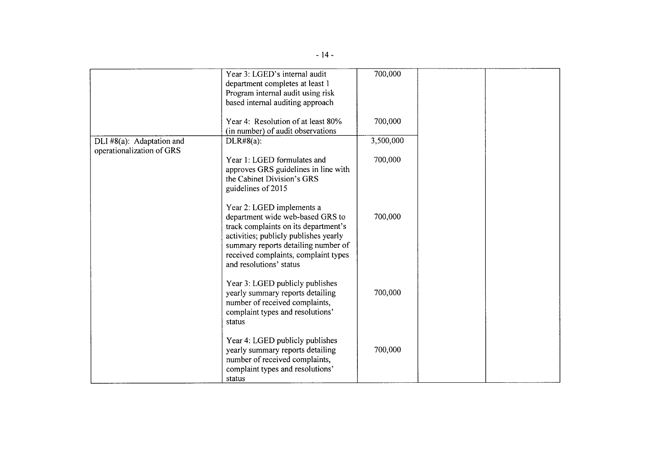|                                                        | Year 3: LGED's internal audit<br>department completes at least 1<br>Program internal audit using risk<br>based internal auditing approach                                                                                                                | 700,000   |  |
|--------------------------------------------------------|----------------------------------------------------------------------------------------------------------------------------------------------------------------------------------------------------------------------------------------------------------|-----------|--|
|                                                        | Year 4: Resolution of at least 80%<br>(in number) of audit observations                                                                                                                                                                                  | 700,000   |  |
| DLI #8(a): Adaptation and<br>operationalization of GRS | $DLR#8(a)$ :                                                                                                                                                                                                                                             | 3,500,000 |  |
|                                                        | Year 1: LGED formulates and<br>approves GRS guidelines in line with<br>the Cabinet Division's GRS<br>guidelines of 2015                                                                                                                                  | 700,000   |  |
|                                                        | Year 2: LGED implements a<br>department wide web-based GRS to<br>track complaints on its department's<br>activities; publicly publishes yearly<br>summary reports detailing number of<br>received complaints, complaint types<br>and resolutions' status | 700,000   |  |
|                                                        | Year 3: LGED publicly publishes<br>yearly summary reports detailing<br>number of received complaints,<br>complaint types and resolutions'<br>status                                                                                                      | 700,000   |  |
|                                                        | Year 4: LGED publicly publishes<br>yearly summary reports detailing<br>number of received complaints,<br>complaint types and resolutions'<br>status                                                                                                      | 700,000   |  |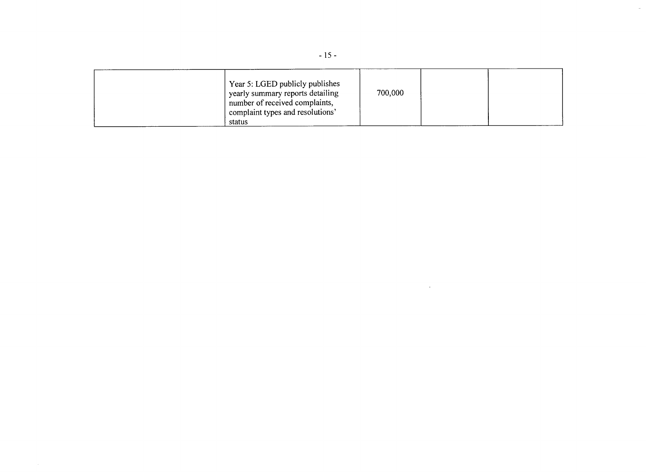| Year 5: LGED publicly publishes<br>yearly summary reports detailing<br>number of received complaints,<br>complaint types and resolutions'<br>status |  | 700,000 |  |  |  |
|-----------------------------------------------------------------------------------------------------------------------------------------------------|--|---------|--|--|--|
|-----------------------------------------------------------------------------------------------------------------------------------------------------|--|---------|--|--|--|

 $\sim 10^7$ 

 $\bar{\mathcal{A}}$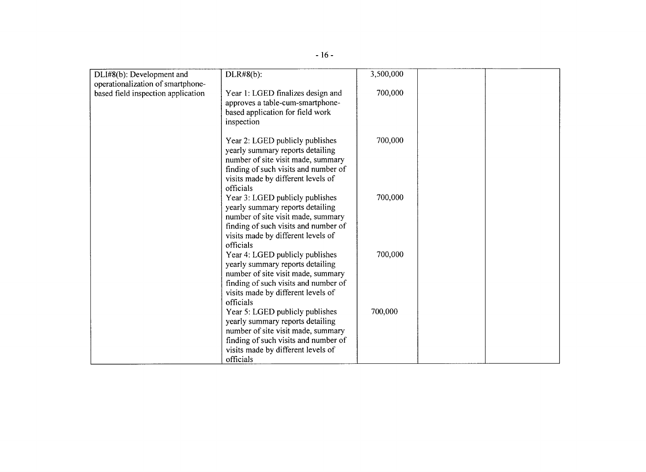| DLI#8(b): Development and          | $DLR#8(b)$ :                                                               | 3,500,000 |  |
|------------------------------------|----------------------------------------------------------------------------|-----------|--|
| operationalization of smartphone-  |                                                                            |           |  |
| based field inspection application | Year 1: LGED finalizes design and                                          | 700,000   |  |
|                                    | approves a table-cum-smartphone-                                           |           |  |
|                                    | based application for field work                                           |           |  |
|                                    | inspection                                                                 |           |  |
|                                    | Year 2: LGED publicly publishes                                            | 700,000   |  |
|                                    | yearly summary reports detailing                                           |           |  |
|                                    | number of site visit made, summary                                         |           |  |
|                                    | finding of such visits and number of                                       |           |  |
|                                    | visits made by different levels of                                         |           |  |
|                                    | officials                                                                  |           |  |
|                                    | Year 3: LGED publicly publishes                                            | 700,000   |  |
|                                    | yearly summary reports detailing                                           |           |  |
|                                    | number of site visit made, summary<br>finding of such visits and number of |           |  |
|                                    | visits made by different levels of                                         |           |  |
|                                    | officials                                                                  |           |  |
|                                    | Year 4: LGED publicly publishes                                            | 700,000   |  |
|                                    | yearly summary reports detailing                                           |           |  |
|                                    | number of site visit made, summary                                         |           |  |
|                                    | finding of such visits and number of                                       |           |  |
|                                    | visits made by different levels of<br>officials                            |           |  |
|                                    | Year 5: LGED publicly publishes                                            | 700,000   |  |
|                                    | yearly summary reports detailing                                           |           |  |
|                                    | number of site visit made, summary                                         |           |  |
|                                    | finding of such visits and number of                                       |           |  |
|                                    | visits made by different levels of                                         |           |  |
|                                    | officials                                                                  |           |  |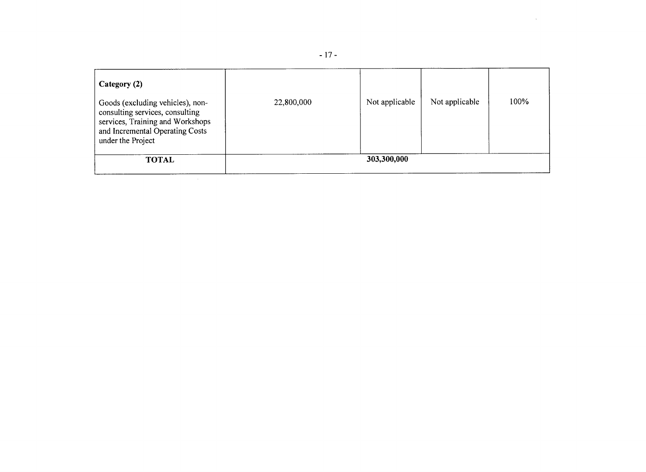| Category (2)<br>Goods (excluding vehicles), non-<br>consulting services, consulting<br>services, Training and Workshops<br>and Incremental Operating Costs<br>under the Project | 22,800,000 | Not applicable | Not applicable | 100% |
|---------------------------------------------------------------------------------------------------------------------------------------------------------------------------------|------------|----------------|----------------|------|
| <b>TOTAL</b>                                                                                                                                                                    |            | 303,300,000    |                |      |

 $\mathcal{L}^{\text{max}}_{\text{max}}$  , where  $\mathcal{L}^{\text{max}}_{\text{max}}$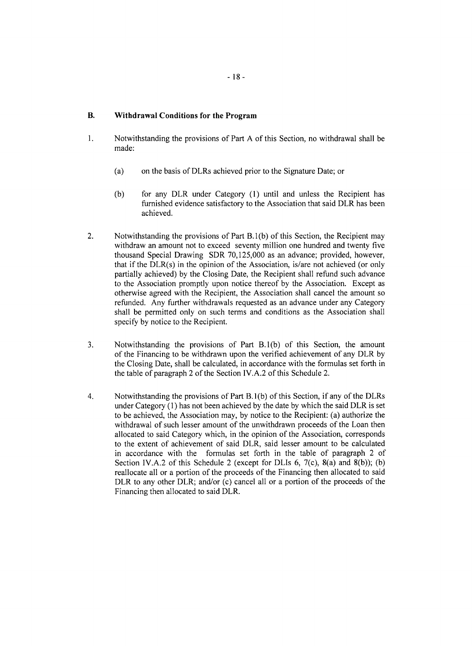# B. Withdrawal Conditions for the Program

- **I**. Notwithstanding the provisions of Part A of this Section, no withdrawal shall be made:
	- (a) on the basis of DLRs achieved prior to the Signature Date; or
	- **(b)** for any DLR under Category **(1)** until and unless the Recipient has furnished evidence satisfactory to the Association that said DLR has been achieved.
- 2. Notwithstanding the provisions of Part **B. I (b)** of this Section, the Recipient may withdraw an amount not to exceed seventy million one hundred and twenty five thousand Special Drawing SDR **70,125,000** as an advance; provided, however, that if the DLR(s) in the opinion of the Association, is/are not achieved (or only partially achieved) **by** the Closing Date, the Recipient shall refund such advance to the Association promptly upon notice thereof **by** the Association. Except as otherwise agreed with the Recipient, the Association shall cancel the amount so refunded. Any further withdrawals requested as an advance under any Category shall be permitted only on such terms and conditions as the Association shall specify **by** notice to the Recipient.
- **3.** Notwithstanding the provisions of Part **B.I(b)** of this Section, the amount of the Financing to be withdrawn upon the verified achievement of any DLR **by** the Closing Date, shall be calculated, in accordance with the formulas set forth in the table of paragraph 2 of the Section IV.A.2 of this Schedule 2.
- 4. Notwithstanding the provisions of Part B. **I (b)** of this Section, if any of the DLRs under Category **(1)** has not been achieved **by** the date **by** which the said DLR is set to be achieved, the Association may, **by** notice to the Recipient: (a) authorize the withdrawal of such lesser amount of the unwithdrawn proceeds of the Loan then allocated to said Category which, in the opinion of the Association, corresponds to the extent of achievement of said DLR, said lesser amount to be calculated in accordance with the formulas set forth in the table of paragraph 2 of Section IV.A.2 of this Schedule 2 (except for DLIs **6,** 7(c), 8(a) and **8(b)); (b)** reallocate all or a portion of the proceeds of the Financing then allocated to said DLR to any other DLR; and/or (c) cancel all or a portion of the proceeds of the Financing then allocated to said DLR.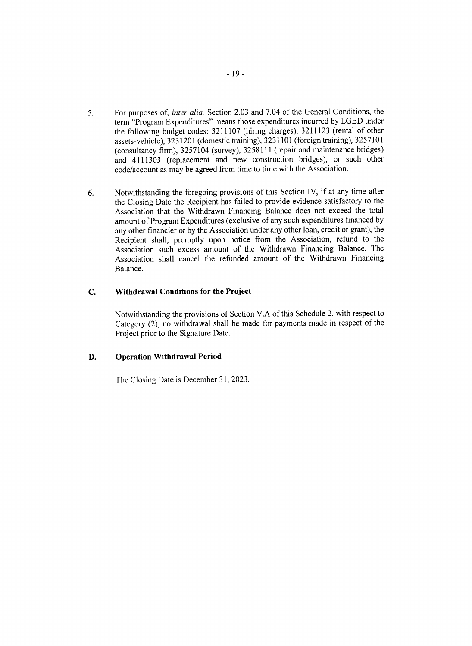- *5.* For purposes of, *inter alia,* Section **2.03** and 7.04 of the General Conditions, the term "Program Expenditures" means those expenditures incurred **by LGED** under the following budget codes: **3211107** (hiring charges), **3211123** (rental of other assets-vehicle), **3231201** (domestic training), **3231101** (foreign training), **3257101** (consultancy firm), **3257104** (survey), **3258111** (repair and maintenance bridges) and 4111303 (replacement and new construction bridges), or such other code/account as may be agreed from time to time with the Association.
- **6.** Notwithstanding the foregoing provisions of this Section IV, if at any time after the Closing Date the Recipient has failed to provide evidence satisfactory to the Association that the Withdrawn Financing Balance does not exceed the total amount of Program Expenditures (exclusive of any such expenditures financed **by** any other financier or **by** the Association under any other loan, credit or grant), the Recipient shall, promptly upon notice from the Association, refund to the Association such excess amount of the Withdrawn Financing Balance. The Association shall cancel the refunded amount of the Withdrawn Financing Balance.

# **C. Withdrawal Conditions for the Project**

Notwithstanding the provisions of Section V.A of this Schedule 2, with respect to Category (2), no withdrawal shall be made for payments made in respect of the Project prior to the Signature Date.

# **D. Operation Withdrawal Period**

The Closing Date is December **31, 2023.**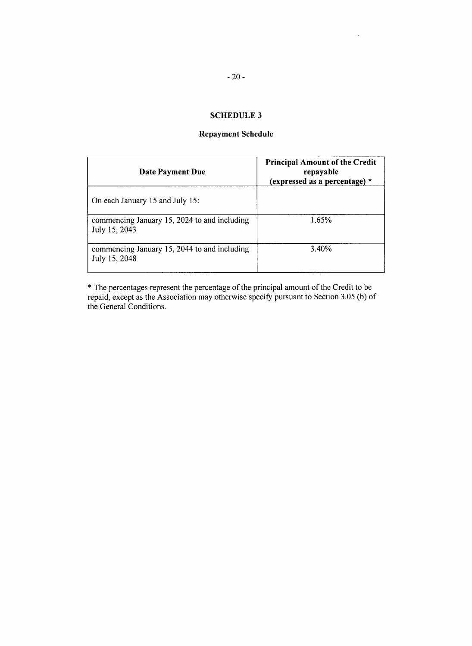$\ddot{\phantom{a}}$ 

# **SCHEDULE 3**

# **Repayment Schedule**

| Date Payment Due                                              | <b>Principal Amount of the Credit</b><br>repayable<br>(expressed as a percentage) $*$ |  |  |
|---------------------------------------------------------------|---------------------------------------------------------------------------------------|--|--|
| On each January 15 and July 15:                               |                                                                                       |  |  |
| commencing January 15, 2024 to and including<br>July 15, 2043 | 1.65%                                                                                 |  |  |
| commencing January 15, 2044 to and including<br>July 15, 2048 | 3.40%                                                                                 |  |  |

\* The percentages represent the percentage of the principal amount of the Credit to be repaid, except as the Association may otherwise specify pursuant to Section **3.05 (b)** of the General Conditions.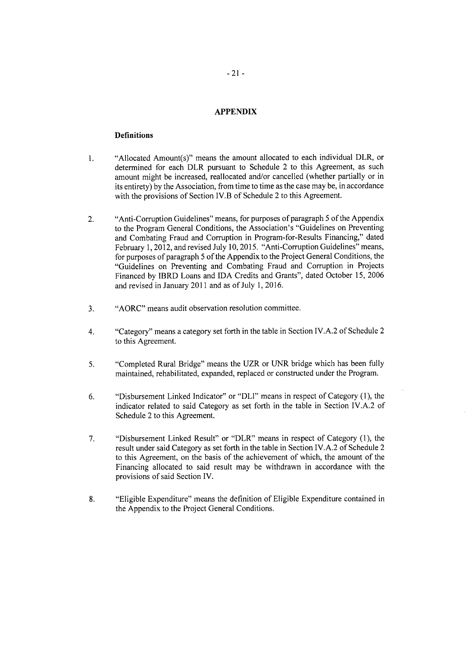## **APPENDIX**

#### **Definitions**

- **1.** "Allocated Amount(s)" means the amount allocated to each individual DLR, or determined for each DLR pursuant to Schedule 2 to this Agreement, as such amount might be increased, reallocated and/or cancelled (whether partially or in its entirety) **by** the Association, from time to time as the case may be, in accordance with the provisions of Section IV.B of Schedule 2 to this Agreement.
- 2. "Anti-Corruption Guidelines" means, for purposes of paragraph **5** of the Appendix to the Program General Conditions, the Association's "Guidelines on Preventing and Combating Fraud and Corruption in Program-for-Results Financing," dated February **1,** 2012, and revised July **10, 2015.** "Anti-Corruption Guidelines" means, for purposes of paragraph **5** of the Appendix to the Project General Conditions, the "Guidelines on Preventing and Combating Fraud and Corruption in Projects Financed **by** IBRD Loans and **IDA** Credits and Grants", dated October **15, 2006** and revised in January 2011 and as of July **1, 2016.**
- **3.** "AORC" means audit observation resolution committee.
- 4. "Category" means a category set forth in the table in Section IV.A.2 of Schedule 2 to this Agreement.
- **5.** "Completed Rural Bridge" means the UZR or **UNR** bridge which has been fully maintained, rehabilitated, expanded, replaced or constructed under the Program.
- **6.** "Disbursement Linked Indicator" or "DLI" means in respect of Category **(1),** the indicator related to said Category as set forth in the table in Section IV.A.2 of Schedule 2 to this Agreement.
- **7.** "Disbursement Linked Result" or "DLR" means in respect of Category **(1),** the result under said Category as set forth in the table in Section IV.A.2 of Schedule 2 to this Agreement, on the basis of the achievement of which, the amount of the Financing allocated to said result may be withdrawn in accordance with the provisions of said Section IV.
- **8.** "Eligible Expenditure" means the definition of Eligible Expenditure contained in the Appendix to the Project General Conditions.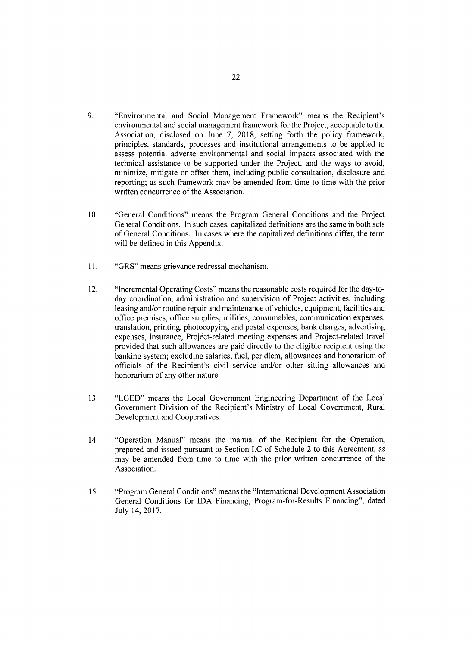- **9.** "Environmental and Social Management Framework" means the Recipient's environmental and social management framework for the Project, acceptable to the Association, disclosed on June **7, 2018,** setting forth the policy framework, principles, standards, processes and institutional arrangements to be applied to assess potential adverse environmental and social impacts associated with the technical assistance to be supported under the Project, and the ways to avoid, minimize, mitigate or offset them, including public consultation, disclosure and reporting; as such framework may be amended from time to time with the prior written concurrence of the Association.
- **10.** "General Conditions" means the Program General Conditions and the Project General Conditions. In such cases, capitalized definitions are the same in both sets of General Conditions. In cases where the capitalized definitions differ, the term will be defined in this Appendix.
- **11.** "GRS" means grievance redressal mechanism.
- 12. "Incremental Operating Costs" means the reasonable costs required for the day-today coordination, administration and supervision of Project activities, including leasing and/or routine repair and maintenance of vehicles, equipment, facilities and office premises, office supplies, utilities, consumables, communication expenses, translation, printing, photocopying and postal expenses, bank charges, advertising expenses, insurance, Project-related meeting expenses and Project-related travel provided that such allowances are paid directly to the eligible recipient using the banking system; excluding salaries, fuel, per diem, allowances and honorarium of officials of the Recipient's civil service and/or other sitting allowances and honorarium of any other nature.
- **13. "LGED"** means the Local Government Engineering Department of the Local Government Division of the Recipient's Ministry of Local Government, Rural Development and Cooperatives.
- 14. "Operation Manual" means the manual of the Recipient for the Operation, prepared and issued pursuant to Section **I.C** of Schedule 2 to this Agreement, as may be amended from time to time with the prior written concurrence of the Association.
- **15.** "Program General Conditions" means the "International Development Association General Conditions for **IDA** Financing, Program-for-Results Financing", dated July 14, **2017.**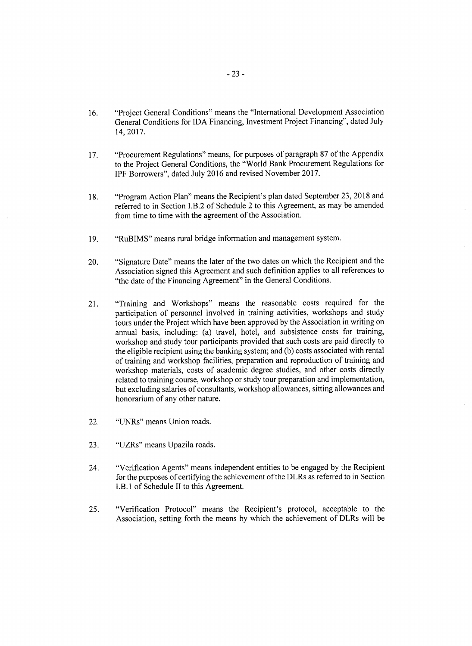- **16.** "Project General Conditions" means the "International Development Association General Conditions for **IDA** Financing, Investment Project Financing", dated July 14, 2017.
- **17.** "Procurement Regulations" means, for purposes of paragraph **87** of the Appendix to the Project General Conditions, the "World Bank Procurement Regulations for IPF Borrowers", dated July **2016** and revised November **2017.**
- **18.** "Program Action Plan" means the Recipient's plan dated September **23, 2018** and referred to in Section I.B.2 of Schedule 2 to this Agreement, as may be amended from time to time with the agreement of the Association.
- **19.** "RuBIMS" means rural bridge information and management system.
- 20. "Signature Date" means the later of the two dates on which the Recipient and the Association signed this Agreement and such definition applies to all references to "the date of the Financing Agreement" in the General Conditions.
- 21. "Training and Workshops" means the reasonable costs required for the participation of personnel involved in training activities, workshops and study tours under the Project which have been approved **by** the Association in writing on annual basis, including: (a) travel, hotel, and subsistence costs for training, workshop and study tour participants provided that such costs are paid directly to the eligible recipient using the banking system; and **(b)** costs associated with rental of training and workshop facilities, preparation and reproduction of training and workshop materials, costs of academic degree studies, and other costs directly related to training course, workshop or study tour preparation and implementation, but excluding salaries of consultants, workshop allowances, sitting allowances and honorarium of any other nature.
- 22. "UNRs" means Union roads.
- **23.** "UZRs" means Upazila roads.
- 24. "Verification Agents" means independent entities to be engaged **by** the Recipient for the purposes of certifying the achievement of the DLRs as referred to in Section I.B.1 of Schedule II to this Agreement.
- **25.** "Verification Protocol" means the Recipient's protocol, acceptable to the Association, setting forth the means **by** which the achievement of DLRs will be